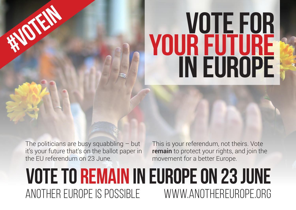# **vote for YOUR future in europe**

The politicians are busy squabbling  $-$  but it's your future that's on the ballot paper in the EU referendum on 23 June.

 **#votein**

This is your referendum, not theirs. Vote remain to protect your rights, and join the movement for a better Europe.

## **vote to remain in europe on 23 june** another europe is possible www.anothereurope.org